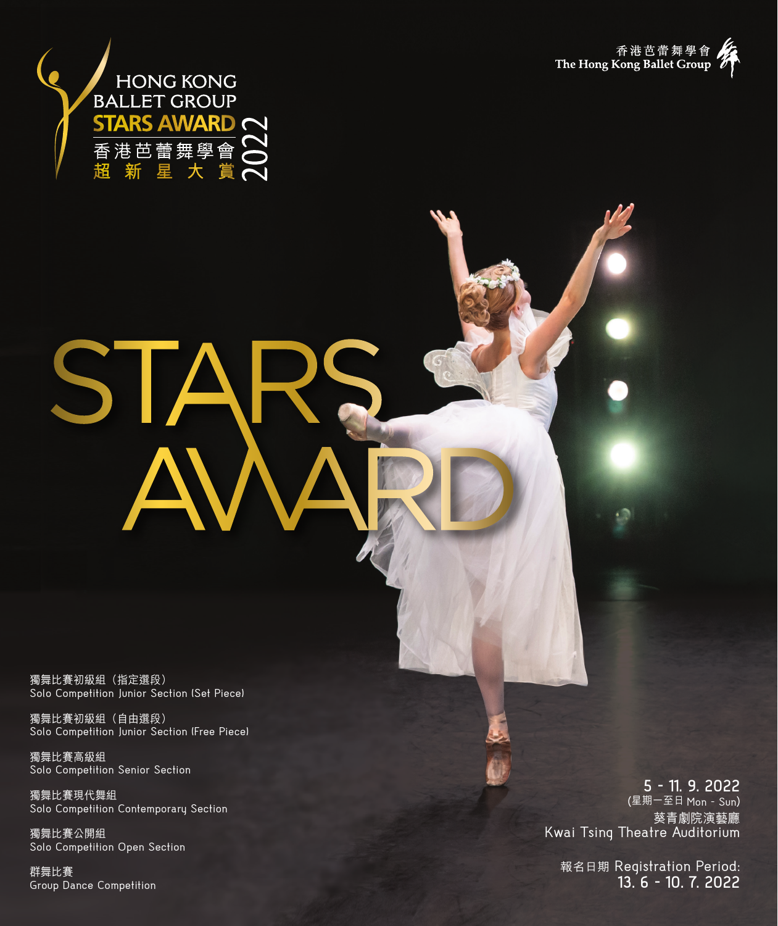



# STA

獨舞比賽初級組(指定選段) Solo Competition Junior Section (Set Piece)

獨舞比賽初級組(自由選段) Solo Competition Junior Section (Free Piece)

獨舞比賽高級組 Solo Competition Senior Section

獨舞比賽現代舞組 Solo Competition Contemporary Section

獨舞比賽公開組 Solo Competition Open Section

群舞比賽 Group Dance Competition

**5 - 11. 9. 2022**  (星期一至日 Mon - Sun ) 葵青劇院演藝廳 Kwai Tsing Theatre Auditorium

報名日期 Registration Period: **13. 6 - 10. 7. 2022**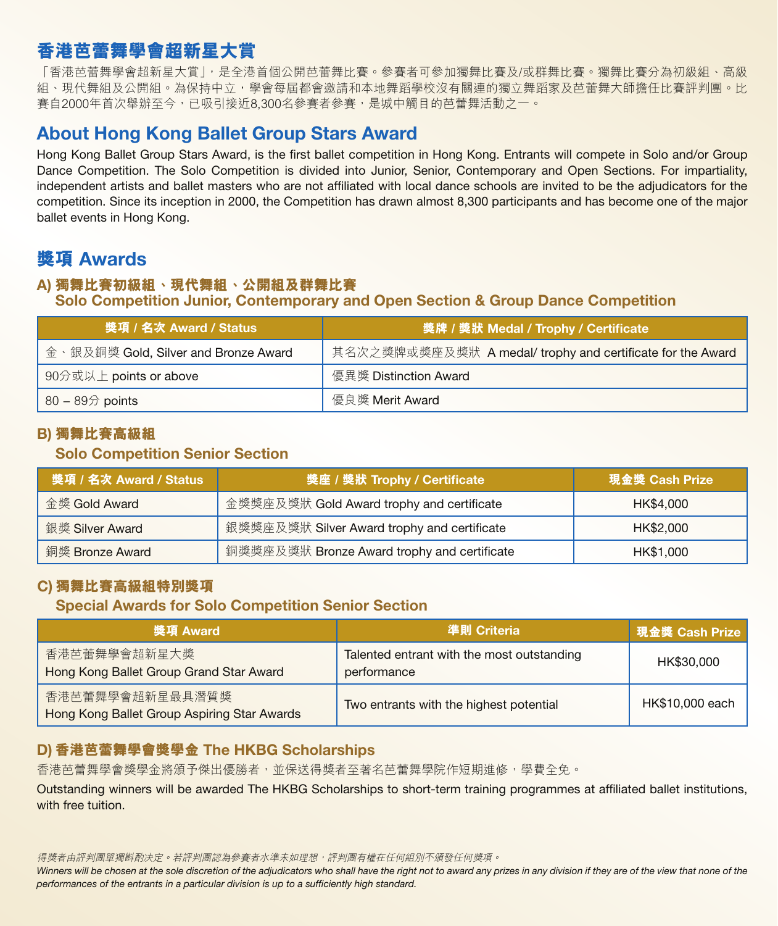# **香港芭蕾舞學會超新星大賞**

「香港芭蕾舞學會超新星大賞」,是全港首個公開芭蕾舞比賽。參賽者可參加獨舞比賽及/或群舞比賽。獨舞比賽分為初級組、高級 組、現代舞組及公開組。為保持中立,學會每屆都會邀請和本地舞蹈學校沒有關連的獨立舞蹈家及芭蕾舞大師擔任比賽評判團。比 賽自2000年首次舉辦至今,已吸引接近8,300名參賽者參賽,是城中觸目的芭蕾舞活動之一。

# About Hong Kong Ballet Group Stars Award

Hong Kong Ballet Group Stars Award, is the first ballet competition in Hong Kong. Entrants will compete in Solo and/or Group Dance Competition. The Solo Competition is divided into Junior, Senior, Contemporary and Open Sections. For impartiality, independent artists and ballet masters who are not affiliated with local dance schools are invited to be the adjudicators for the competition. Since its inception in 2000, the Competition has drawn almost 8,300 participants and has become one of the major ballet events in Hong Kong.

# **獎項** Awards

### A) **獨舞比賽初級組、現代舞組、公開組及群舞比賽** Solo Competition Junior, Contemporary and Open Section & Group Dance Competition

| 獎項 / 名次 Award / Status               | 接牌 / 獎狀 Medal / Trophy / Certificate                       |
|--------------------------------------|------------------------------------------------------------|
| 金、銀及銅獎 Gold, Silver and Bronze Award | 其名次之獎牌或獎座及獎狀 A medal/ trophy and certificate for the Award |
| 90分或以上 points or above               | 優異獎 Distinction Award                                      |
| $80 - 89$ points                     | 優良獎 Merit Award                                            |

## B) **獨舞比賽高級組**

# Solo Competition Senior Section

| 獎項/名次 Award / Status | 獎座 / 獎狀 Trophy / Certificate                | 現金獎 Cash Prize |
|----------------------|---------------------------------------------|----------------|
| 金獎 Gold Award        | 金獎獎座及獎狀 Gold Award trophy and certificate   | HK\$4,000      |
| 銀獎 Silver Award      | 銀獎獎座及獎狀 Silver Award trophy and certificate | HK\$2,000      |
| 銅獎 Bronze Award      | 銅獎獎座及獎狀 Bronze Award trophy and certificate | HK\$1,000      |

## C) **獨舞比賽高級組特別獎項**

## Special Awards for Solo Competition Senior Section

| 獎項 Award                                                       | 準則 Criteria                                               | <b>現金獎 Cash Prize</b> |
|----------------------------------------------------------------|-----------------------------------------------------------|-----------------------|
| 香港芭蕾舞學會超新星大獎<br>Hong Kong Ballet Group Grand Star Award        | Talented entrant with the most outstanding<br>performance | HK\$30,000            |
| 香港芭蕾舞學會超新星最具潛質獎<br>Hong Kong Ballet Group Aspiring Star Awards | Two entrants with the highest potential                   | HK\$10,000 each       |

## D) **香港芭蕾舞學會獎學金** The HKBG Scholarships

香港芭蕾舞學會獎學金將頒予傑出優勝者,並保送得獎者至著名芭蕾舞學院作短期進修,學費全免。

Outstanding winners will be awarded The HKBG Scholarships to short-term training programmes at affiliated ballet institutions, with free tuition.

得獎者由評判團單獨斟酌决定。若評判團認為參賽者水準未如理想,評判團有權在任何組別不頒發任何獎項。

Winners will be chosen at the sole discretion of the adjudicators who shall have the right not to award any prizes in any division if they are of the view that none of the *performances of the entrants in a particular division is up to a sufficiently high standard.*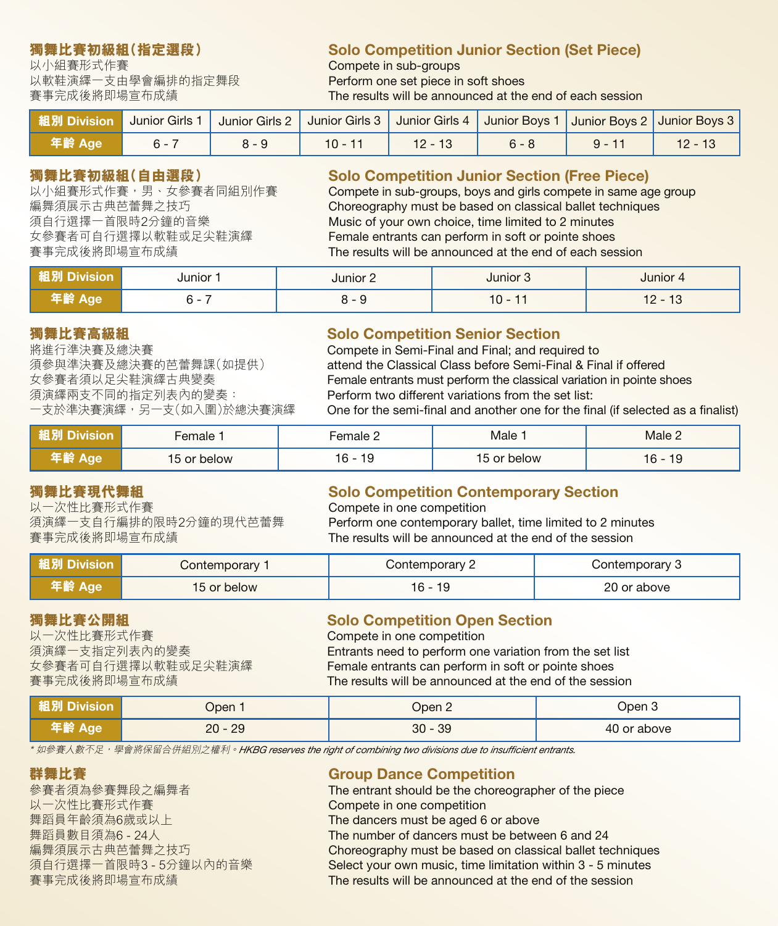以小組賽形式作賽<br>以軟鞋演繹一支由學會編排的指定舞段 Perform one set piece in 以軟鞋演繹一支由學會編排的指定舞段 Perform one set piece in soft shoes<br>賽事完成後將即場宣布成績 Phe results will be announced at the

# **獨舞比賽初級組(指定選段) Solo Competition Junior Section (Set Piece)**

The results will be announced at the end of each session

| <b>組別 Division</b> | Junior Girls 1 | Junior Girls 2   Junior Girls 3   Junior Girls 4   Junior Boys 1   Junior Boys 2   Junior Boys 3 |           |           |         |          |  |
|--------------------|----------------|--------------------------------------------------------------------------------------------------|-----------|-----------|---------|----------|--|
| 年齢 Age             |                | $8 - 9$                                                                                          | $10 - 11$ | $12 - 13$ | $6 - 8$ | $9 - 11$ |  |

# **獨舞比賽初級組(自由選段) Solo Competition Junior Section (Free Piece)**<br>以小組賽形式作賽,男、女參賽者同組別作賽 Compete in sub-groups. bovs and girls compete in same ac

以小組賽形式作賽,男、女參賽者同組別作賽 Compete in sub-groups, boys and girls compete in same age group<br>編舞須展示古典芭蕾舞之技巧 Choreography must be based on classical ballet techniques 編舞須展示古典芭蕾舞之技巧 Choreography must be based on classical ballet techniques 須自行選擇一首限時2分鐘的音樂 Music of your own choice, time limited to 2 minutes<br>女參賽者可自行選擇以軟鞋或足尖鞋演繹 Female entrants can perform in soft or pointe shoes 女參賽者可自行選擇以軟鞋或足尖鞋演繹 Female entrants can perform in soft or pointe shoes The results will be announced at the end of each session

| иыоп<br>- 164 | Junior                             | unior | Junior '<br>- 10 | Junior<br>്പ |
|---------------|------------------------------------|-------|------------------|--------------|
| -145          | $\overline{\phantom{0}}$<br>$\sim$ |       | 10<br>--         | 10<br>' –    |

須演繹兩支不同的指定列表內的變奏: Perform two different variations from the set list:

# **獨舞比賽高級組 Solo Competition Senior Section**<br>將進行準決賽及總決賽 Solo Compete in Semi-Final and Final; and requ

將進行準決賽及總決賽<br>須參與準決賽及總決賽的芭蕾舞課(如提供) attend the Classical Class before Semi-Final & Fir 須參與準決賽及總決賽的芭蕾舞課(如提供) attend the Classical Class before Semi-Final & Final if offered 女參賽者須以足尖鞋演繹古典變奏 Female entrants must perform the classical variation in pointe shoes<br>須演繹兩支不同的指定列表內的變奏: **Four Perform two different variations from the set list:** One for the semi-final and another one for the final (if selected as a finalist)

|              | -emale           | Female 2       | Male     | Male $\epsilon$ |
|--------------|------------------|----------------|----------|-----------------|
| - - -<br>auc | . pelow<br>15 or | 16<br>19<br>ັບ | or below | 19<br>16        |

以一次性比賽形式作賽<br>須演繹一支自行編排的限時2分鐘的現代芭蕾舞 Perform one contemporary b

# **獨舞比賽現代舞組 Solo Competition Contemporary Section**<br>以一次性比賽形式作賽 **Solo Compete in one competition**

須演繹一支自行編排的限時2分鐘的現代芭蕾舞 Perform one contemporary ballet, time limited to 2 minutes<br>賽事完成後將即場宣布成績 The results will be announced at the end of the session The results will be announced at the end of the session

| 組別 Division | Contemporary | Contemporary 2  | Contemporary 3 |
|-------------|--------------|-----------------|----------------|
| 年齢 Age      | 15 or below  | $\sim$<br>. ხ - | 20 or above    |

# **獨舞比賽公開組** Solo Competition Open Section

Compete in one competition 須演繹一支指定列表內的變奏 Entrants need to perform one variation from the set list 女參賽者可自行選擇以軟鞋或足尖鞋演繹 Female entrants can perform in soft or pointe shoes The results will be announced at the end of the session

| 粗別 Division | Dpen :   | Open 2        | Jpen 3      |
|-------------|----------|---------------|-------------|
| /酹 Age      | 29<br>20 | -39<br>$30 -$ | 40 or above |

\* 如參賽人數不足,學會將保留合併組別之權利。*HKBG reserves the right of combining two divisions due to insufficient entrants.* 

以一次性比賽形式作賽 Compete in one competition 舞蹈員年齡須為6歲或以上 The dancers must be aged 6 or above

# **群舞比賽 Group Dance Competition**<br>參賽者須為參賽舞段之編舞者 The entrant should be the choreog

The entrant should be the choreographer of the piece 舞蹈員數目須為6 - 24人 The number of dancers must be between 6 and 24<br>編舞須展示古典芭蕾舞之技巧 Choreography must be based on classical ballet te 編舞須展示古典芭蕾舞之技巧 Choreography must be based on classical ballet techniques<br>須自行選擇一首限時3 - 5分鐘以內的音樂 Select your own music, time limitation within 3 - 5 minutes Select your own music, time limitation within 3 - 5 minutes 賽事完成後將即場宣布成績 The results will be announced at the end of the session